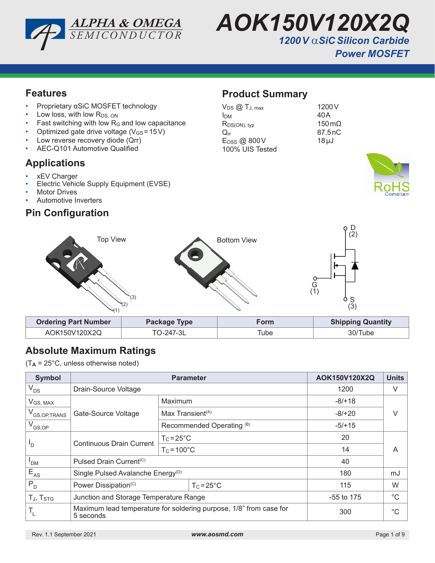



1200<sub>V</sub>

 $150 \,\mathrm{m}\Omega$ 87.5nC  $18 \mu J$ 

## *Power MOSFET*

### **Features**

- Proprietary αSiC MOSFET technology
- Low loss, with low  $R_{DS, ON}$
- Fast switching with low  $R_G$  and low capacitance
- Optimized gate drive voltage ( $V_{GS}$  = 15V)
- Low reverse recovery diode (Qrr)
- AEC-Q101 Automotive Qualified

### **Applications**

- xEV Charger
- Electric Vehicle Supply Equipment (EVSE)
- **Motor Drives**
- Automotive Inverters

## **Pin Configuration**

### **Product Summary**

| $V_{DS}$ $@$ $T_{J, max}$ | 1200    |
|---------------------------|---------|
| <b>I</b> DM               | 40 A    |
| $R_{DS(ON), typ}$         | 150     |
| $Q_{rr}$                  | 87.5    |
| E <sub>OSS</sub> @ 800V   | $18\mu$ |
| 100% UIS Tested           |         |





## **Absolute Maximum Ratings**

(T**A** = 25°C, unless otherwise noted)

| <b>Symbol</b>              |                                                                                 | AOK150V120X2Q                | <b>Units</b> |             |
|----------------------------|---------------------------------------------------------------------------------|------------------------------|--------------|-------------|
| $V_{DS}$                   | Drain-Source Voltage                                                            |                              | 1200         | V           |
| $V_{GS, MAX}$              |                                                                                 | Maximum                      | $-8/+18$     |             |
| V <sub>GS, OP, TRANS</sub> | Gate-Source Voltage                                                             | Max Transient <sup>(A)</sup> | $-8/+20$     | V           |
| $V_{GS,OP}$                |                                                                                 | Recommended Operating (B)    | $-5/+15$     |             |
| $\mathsf{I}_{\mathsf{D}}$  | <b>Continuous Drain Current</b>                                                 | $T_c = 25^{\circ}C$          | 20           |             |
|                            |                                                                                 | $T_c = 100^{\circ}C$         | 14           | A           |
| <b>PDM</b>                 | Pulsed Drain Current <sup>(C)</sup>                                             |                              | 40           |             |
| $E_{AS}$                   | Single Pulsed Avalanche Energy <sup>(D)</sup>                                   |                              | 180          | mJ          |
| $P_{D}$                    | Power Dissipation <sup>(C)</sup>                                                | $T_c = 25^{\circ}C$          | 115          | W           |
| TJ, T <sub>STG</sub>       | Junction and Storage Temperature Range                                          |                              | $-55$ to 175 | $^{\circ}C$ |
| T <sub>L</sub>             | Maximum lead temperature for soldering purpose, 1/8" from case for<br>5 seconds |                              | 300          | $^{\circ}C$ |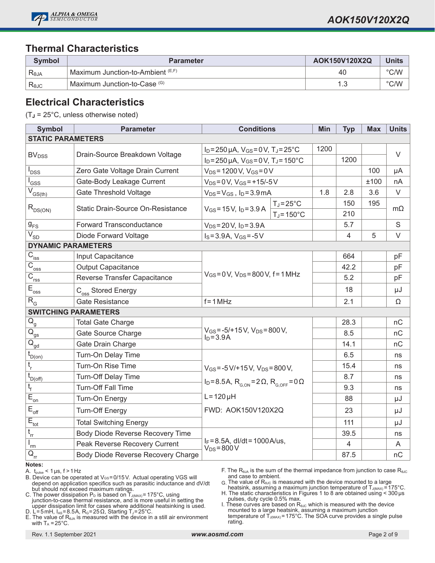

### **Thermal Characteristics**

| Symbol         | <b>Parameter</b>                  | AOK150V120X2Q | <b>Units</b>  |
|----------------|-----------------------------------|---------------|---------------|
| Reja           | Maximum Junction-to-Ambient (E,F) | 40            | $\degree$ C/W |
| $R_{\theta$ JC | Maximum Junction-to-Case (G)      |               | $\degree$ C/W |

#### **Electrical Characteristics**

(T**J** = 25°C, unless otherwise noted)

| <b>Symbol</b>                                     | <b>Parameter</b>                                         | <b>Conditions</b>                                                                                      |  | Min  | <b>Typ</b>     | <b>Max</b> | <b>Units</b> |
|---------------------------------------------------|----------------------------------------------------------|--------------------------------------------------------------------------------------------------------|--|------|----------------|------------|--------------|
| <b>STATIC PARAMETERS</b>                          |                                                          |                                                                                                        |  |      |                |            |              |
|                                                   | $I_D = 250 \mu A$ , $V_{GS} = 0 V$ , $T_J = 25^{\circ}C$ |                                                                                                        |  | 1200 |                |            | $\vee$       |
| <b>BV</b> <sub>DSS</sub>                          | Drain-Source Breakdown Voltage                           | $I_D = 250 \mu A$ , $V_{GS} = 0 V$ , $T_J = 150^{\circ}C$                                              |  |      | 1200           |            |              |
| <b>DSS</b>                                        | Zero Gate Voltage Drain Current                          | $V_{DS} = 1200 V$ , $V_{GS} = 0 V$                                                                     |  |      |                | 100        | μA           |
| GSS                                               | Gate-Body Leakage Current                                | $V_{DS} = 0 V$ , $V_{GS} = +15/-5 V$                                                                   |  |      |                | ±100       | nA           |
| $\overline{V}_{GS(th)}$                           | Gate Threshold Voltage                                   | $V_{DS} = V_{GS}$ , $I_D = 3.9$ mA                                                                     |  | 1.8  | 2.8            | 3.6        | V            |
|                                                   | Static Drain-Source On-Resistance                        | $T_J = 25^{\circ}C$<br>$V_{GS} = 15V$ , $I_D = 3.9 A$<br>$T_J = 150^{\circ}C$                          |  | 150  | 195            |            |              |
| $R_{DS(ON)}$                                      |                                                          |                                                                                                        |  |      | 210            |            | $m\Omega$    |
| $g_{\rm FS}$                                      | <b>Forward Transconductance</b>                          | $V_{DS} = 20 V$ , $I_D = 3.9 A$                                                                        |  |      | 5.7            |            | $\mathsf S$  |
| $\overline{V_{SD}}$                               | Diode Forward Voltage                                    | $I_S = 3.9A$ , $V_{GS} = -5V$                                                                          |  |      | $\overline{4}$ | 5          | $\vee$       |
| <b>DYNAMIC PARAMETERS</b>                         |                                                          |                                                                                                        |  |      |                |            |              |
| $\overline{C}_{\underline{iss}}$                  | Input Capacitance                                        |                                                                                                        |  |      | 664            |            | pF           |
| $\overline{C}_{\underline{\text{oss}}}$           | <b>Output Capacitance</b>                                | $V_{GS} = 0 V$ , $V_{DS} = 800 V$ , f = 1 MHz                                                          |  |      | 42.2           |            | pF           |
| $\overline{C_{\rm rss}}$                          | Reverse Transfer Capacitance                             |                                                                                                        |  |      | 5.2            |            | pF           |
| $E_{\text{oss}}$                                  | C <sub>oss</sub> Stored Energy                           |                                                                                                        |  |      | 18             |            | μJ           |
| $R_{\rm G}$                                       | <b>Gate Resistance</b>                                   | $f = 1 MHz$                                                                                            |  |      | 2.1            |            | Ω            |
|                                                   | <b>SWITCHING PARAMETERS</b>                              |                                                                                                        |  |      |                |            |              |
| $\mathsf{Q}_{\mathsf{g}}$                         | <b>Total Gate Charge</b>                                 |                                                                                                        |  |      | 28.3           |            | nC           |
| $\overline{\mathsf{Q}}_{\underline{\mathsf{gs}}}$ | Gate Source Charge                                       | $V_{GS} = -5/+15 V$ , $V_{DS} = 800 V$ ,<br>$I_D = 3.9A$                                               |  |      | 8.5            |            | nC           |
| $\overline{Q}_{gd}$                               | Gate Drain Charge                                        |                                                                                                        |  |      | 14.1           |            | nC           |
| $\operatorname{t}_{\mathsf{D}(\mathsf{on})}$      | Turn-On Delay Time                                       |                                                                                                        |  |      | 6.5            |            | ns           |
| t <sub>r</sub>                                    | Turn-On Rise Time                                        | $V_{GS} = -5 V/ + 15 V$ , $V_{DS} = 800 V$ ,                                                           |  |      | 15.4           |            | ns           |
| $t_{D(off)}$                                      | Turn-Off Delay Time                                      |                                                                                                        |  |      | 8.7            |            | ns           |
| t,                                                | Turn-Off Fall Time                                       | $I_D = 8.5A$ , $R_{G,ON} = 2 \Omega$ , $R_{G,OFF} = 0 \Omega$<br>$L = 120 \mu H$<br>FWD: AOK150V120X2Q |  |      | 9.3            |            | ns           |
| $\overline{E}_{\underline{on}}$                   | Turn-On Energy                                           |                                                                                                        |  |      | 88             |            | μJ           |
| $E_{\text{off}}$                                  | <b>Turn-Off Energy</b>                                   |                                                                                                        |  |      | 23             |            | μJ           |
| $E_{\underline{\underline{\mathrm{tot}}}}$        | <b>Total Switching Energy</b>                            |                                                                                                        |  |      | 111            |            | μJ           |
| $t_{rr}$                                          | Body Diode Reverse Recovery Time                         |                                                                                                        |  |      | 39.5           |            | ns           |
| $\mathsf{l}_{\mathsf{rm}}$                        | Peak Reverse Recovery Current                            | $I_F = 8.5A$ , dl/dt = 1000A/us,<br>$V_{DS} = 800 V$                                                   |  |      | $\overline{4}$ |            | A            |
| $\mathsf{Q}_{\mathsf{rr}}$                        | Body Diode Reverse Recovery Charge                       |                                                                                                        |  |      | 87.5           |            | nC           |

#### **Notes:**

A.  $t_{pulse}$  < 1 µs,  $f > 1$  Hz

- B. Device can be operated at VGS=0/15V. Actual operating VGS will depend on application specifics such as parasitic inductance and dV/dt but should not exceed maximum ratings.
- C. The power dissipation P<sub>D</sub> is based on T $_{\text{J(MAX)}}$ = 175°C, using junction-to-case thermal resistance, and is more useful in setting the upper dissipation limit for cases where additional heatsinking is used.
- D. L=5mH, I<sub>AS</sub>=8.5A, R<sub>G</sub>=25Ω, Starting T<sub>J</sub>=25°C. E. The value of  $R<sub>θJA</sub>$  is measured with the device in a still air environment with  $T_A = 25^{\circ}$ C.

F. The R<sub>θJA</sub> is the sum of the thermal impedance from junction to case R<sub>θJC</sub> and case to ambient.

- $G$ . The value of R $_{\text{\tiny QUC}}$  is measured with the device mounted to a large heatsink, assuming a maximum junction temperature of T $_{\text{\tiny J(MAX)}}$ =175°C.
- H. The static characteristics in Figures 1 to 8 are obtained using  $<$  300 µs

pulses, duty cycle 0.5% max. I. These curves are based on  $R_{\theta\text{UC}}$  which is measured with the device mounted to a large heatsink, assuming a maximum junction<br>temperature of T<sub>J(MAX)</sub>=175°C. The SOA curve provides a single pulse rating.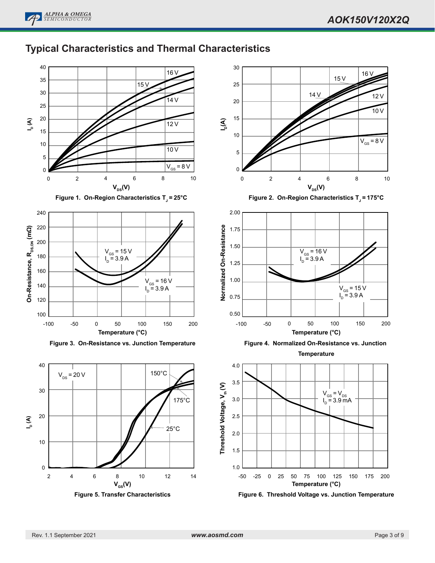# **Typical Characteristics and Thermal Characteristics**







**Figure 3. On-Resistance vs. Junction Temperature**



**Figure 5. Transfer Characteristics**





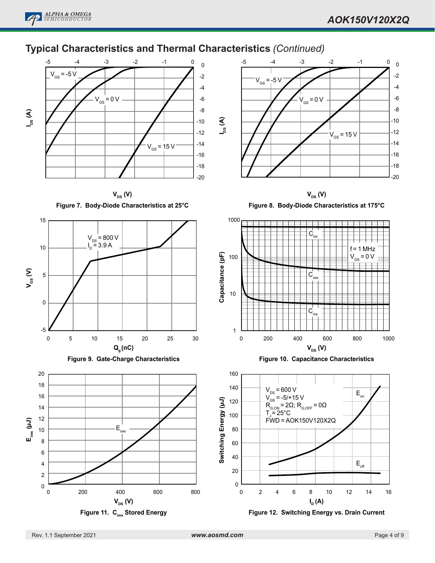

## **Typical Characteristics and Thermal Characteristics** *(Continued)*



**V**<sub>DS</sub> (**V**) **Figure 7. Body-Diode Characteristics at 25°C**









**V<sub>DS</sub>** (**V**)

**Figure 8. Body-Diode Characteristics at 175°C**



**Figure 10. Capacitance Characteristics**



**Figure 12. Switching Energy vs. Drain Current**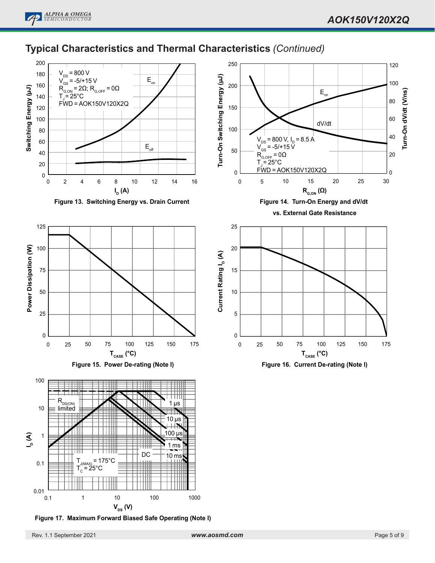

### **Typical Characteristics and Thermal Characteristics** *(Continued)*



**Figure 13. Switching Energy vs. Drain Current**







**Figure 17. Maximum Forward Biased Safe Operating (Note I)**



**Figure 16. Current De-rating (Note I)**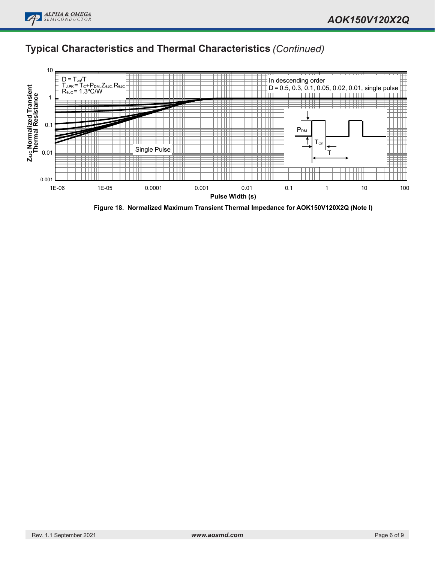

## **Typical Characteristics and Thermal Characteristics** *(Continued)*



**Figure 18. Normalized Maximum Transient Thermal Impedance for AOK150V120X2Q (Note I)**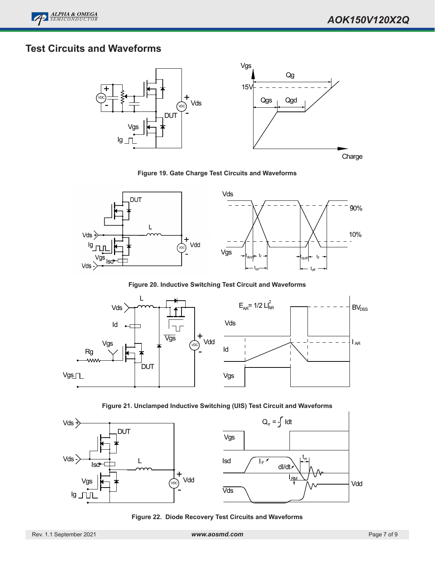

## **Test Circuits and Waveforms**



**Figure 19. Gate Charge Test Circuits and Waveforms**



**Figure 20. Inductive Switching Test Circuit and Waveforms**



**Figure 21. Unclamped Inductive Switching (UIS) Test Circuit and Waveforms**



**Figure 22. Diode Recovery Test Circuits and Waveforms**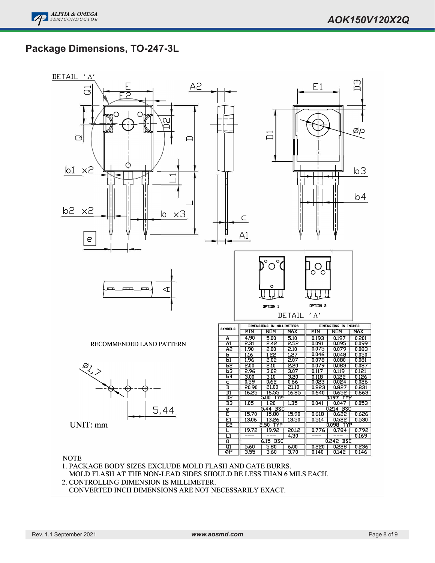----Ξ

-Ξ

 

Ξ

## **Package Dimensions, TO-247-3L**



#### **NOTE**

- 1. PACKAGE BODY SIZES EXCLUDE MOLD FLASH AND GATE BURRS. MOLD FLASH AT THE NON-LEAD SIDES SHOULD BE LESS THAN 6 MILS EACH.
- 2. CONTROLLING DIMENSION IS MILLIMETER.
- CONVERTED INCH DIMENSIONS ARE NOT NECESSARILY EXACT.